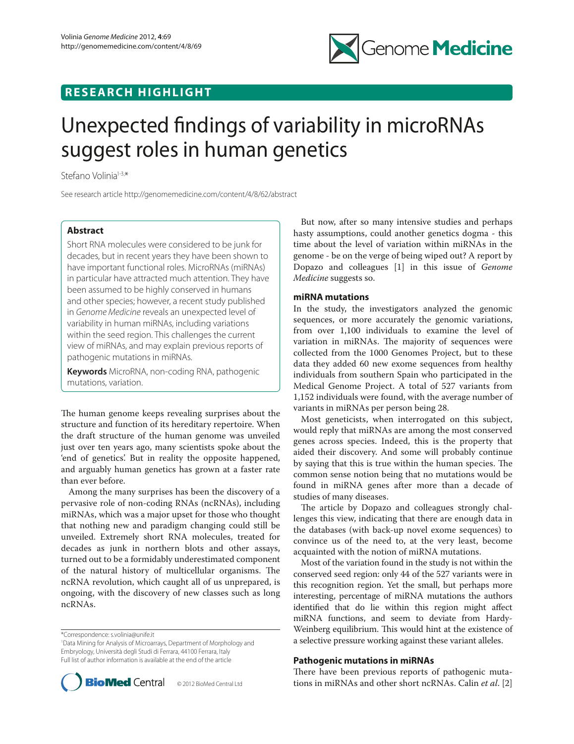# **RESEARCH HIGHLIGHT**



# Unexpected findings of variability in microRNAs suggest roles in human genetics

Stefano Volinia<sup>1-3,\*</sup>

See research article http://genomemedicine.com/content/4/8/62/abstract

# **Abstract**

Short RNA molecules were considered to be junk for decades, but in recent years they have been shown to have important functional roles. MicroRNAs (miRNAs) in particular have attracted much attention. They have been assumed to be highly conserved in humans and other species; however, a recent study published in *Genome Medicine* reveals an unexpected level of variability in human miRNAs, including variations within the seed region. This challenges the current view of miRNAs, and may explain previous reports of pathogenic mutations in miRNAs.

**Keywords** MicroRNA, non-coding RNA, pathogenic mutations, variation.

The human genome keeps revealing surprises about the structure and function of its hereditary repertoire. When the draft structure of the human genome was unveiled just over ten years ago, many scientists spoke about the 'end of genetics'. But in reality the opposite happened, and arguably human genetics has grown at a faster rate than ever before.

Among the many surprises has been the discovery of a pervasive role of non-coding RNAs (ncRNAs), including miRNAs, which was a major upset for those who thought that nothing new and paradigm changing could still be unveiled. Extremely short RNA molecules, treated for decades as junk in northern blots and other assays, turned out to be a formidably underestimated component of the natural history of multicellular organisms. The ncRNA revolution, which caught all of us unprepared, is ongoing, with the discovery of new classes such as long ncRNAs.

\*Correspondence: s.volinia@unife.it

<sup>1</sup> Data Mining for Analysis of Microarrays, Department of Morphology and Embryology, Università degli Studi di Ferrara, 44100 Ferrara, Italy Full list of author information is available at the end of the article



But now, after so many intensive studies and perhaps hasty assumptions, could another genetics dogma - this time about the level of variation within miRNAs in the genome - be on the verge of being wiped out? A report by Dopazo and colleagues [1] in this issue of *Genome Medicine* suggests so.

## **miRNA mutations**

In the study, the investigators analyzed the genomic sequences, or more accurately the genomic variations, from over 1,100 individuals to examine the level of variation in miRNAs. The majority of sequences were collected from the 1000 Genomes Project, but to these data they added 60 new exome sequences from healthy individuals from southern Spain who participated in the Medical Genome Project. A total of 527 variants from 1,152 individuals were found, with the average number of variants in miRNAs per person being 28.

Most geneticists, when interrogated on this subject, would reply that miRNAs are among the most conserved genes across species. Indeed, this is the property that aided their discovery. And some will probably continue by saying that this is true within the human species. The common sense notion being that no mutations would be found in miRNA genes after more than a decade of studies of many diseases.

The article by Dopazo and colleagues strongly challenges this view, indicating that there are enough data in the databases (with back-up novel exome sequences) to convince us of the need to, at the very least, become acquainted with the notion of miRNA mutations.

Most of the variation found in the study is not within the conserved seed region: only 44 of the 527 variants were in this recognition region. Yet the small, but perhaps more interesting, percentage of miRNA mutations the authors identified that do lie within this region might affect miRNA functions, and seem to deviate from Hardy-Weinberg equilibrium. This would hint at the existence of a selective pressure working against these variant alleles.

### **Pathogenic mutations in miRNAs**

There have been previous reports of pathogenic mutations in miRNAs and other short ncRNAs. Calin *et al*. [2]